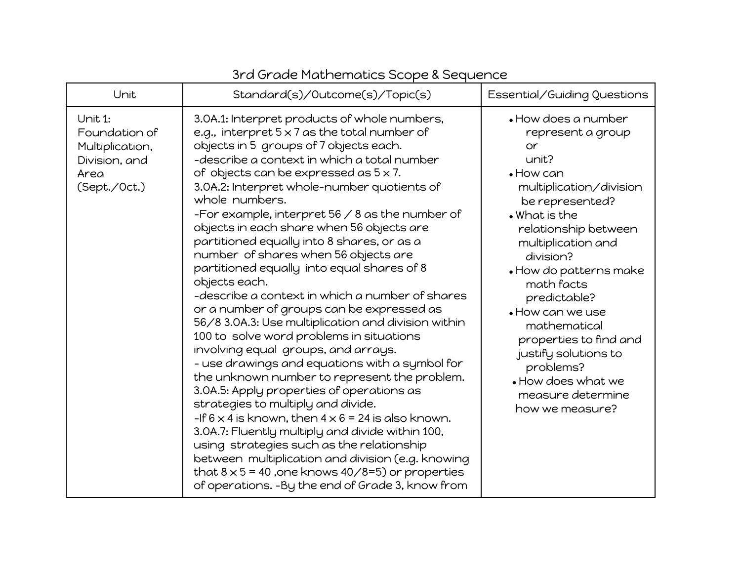| Unit                                                                                 | Standard(s)/Outcome(s)/Topic(s)                                                                                                                                                                                                                                                                                                                                                                                                                                                                                                                                                                                                                                                                                                                                                                                                                                                                                                                                                                                                                                                                                                                                                                                                                                                                                                                   | Essential/Guiding Questions                                                                                                                                                                                                                                                                                                                                                                                                                     |
|--------------------------------------------------------------------------------------|---------------------------------------------------------------------------------------------------------------------------------------------------------------------------------------------------------------------------------------------------------------------------------------------------------------------------------------------------------------------------------------------------------------------------------------------------------------------------------------------------------------------------------------------------------------------------------------------------------------------------------------------------------------------------------------------------------------------------------------------------------------------------------------------------------------------------------------------------------------------------------------------------------------------------------------------------------------------------------------------------------------------------------------------------------------------------------------------------------------------------------------------------------------------------------------------------------------------------------------------------------------------------------------------------------------------------------------------------|-------------------------------------------------------------------------------------------------------------------------------------------------------------------------------------------------------------------------------------------------------------------------------------------------------------------------------------------------------------------------------------------------------------------------------------------------|
| Unit 1:<br>Foundation of<br>Multiplication,<br>Division, and<br>Area<br>(Sept./Oct.) | 3.0A.1: Interpret products of whole numbers,<br>e.g., interpret $5 \times 7$ as the total number of<br>objects in 5 groups of 7 objects each.<br>-describe a context in which a total number<br>of objects can be expressed as $5 \times 7$ .<br>3.0A.2: Interpret whole-number quotients of<br>whole numbers.<br>-For example, interpret $56 / 8$ as the number of<br>objects in each share when 56 objects are<br>partitioned equally into 8 shares, or as a<br>number of shares when 56 objects are<br>partitioned equally into equal shares of 8<br>objects each.<br>-describe a context in which a number of shares<br>or a number of groups can be expressed as<br>56/8 3.0A.3: Use multiplication and division within<br>100 to solve word problems in situations<br>involving equal groups, and arrays.<br>- use drawings and equations with a symbol for<br>the unknown number to represent the problem.<br>3.0A.5: Apply properties of operations as<br>strategies to multiply and divide.<br>-If $6 \times 4$ is known, then $4 \times 6 = 24$ is also known.<br>3.0A.7: Fluently multiply and divide within 100,<br>using strategies such as the relationship<br>between multiplication and division (e.g. knowing<br>that $8 \times 5 = 40$ , one knows $40/8=5$ ) or properties<br>of operations. -By the end of Grade 3, know from | $\bullet$ How does a number<br>represent a group<br>or<br>unit?<br>$\bullet$ How can<br>multiplication/division<br>be represented?<br>$\bullet$ What is the<br>relationship between<br>multiplication and<br>division?<br>• How do patterns make<br>math facts<br>predictable?<br>. How can we use<br>mathematical<br>properties to find and<br>justify solutions to<br>problems?<br>• How does what we<br>measure determine<br>how we measure? |

## 3rd Grade Mathematics Scope & Sequence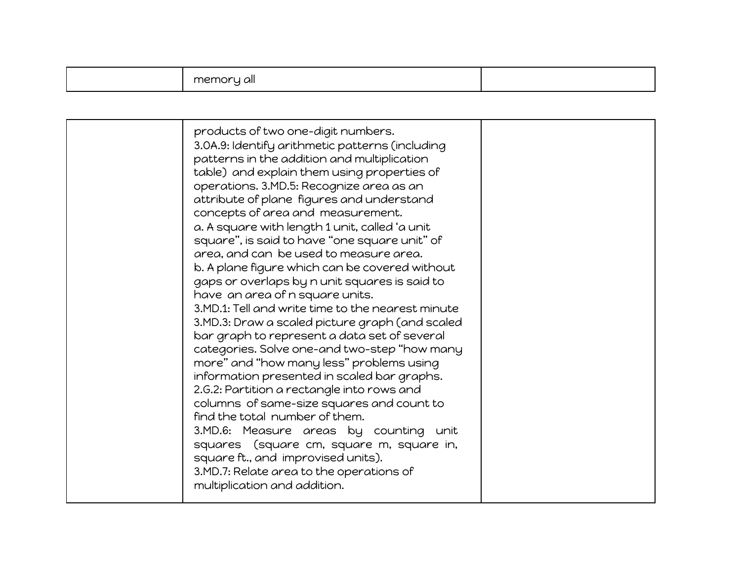|  |  | all<br>memo.<br>nn |  |
|--|--|--------------------|--|
|--|--|--------------------|--|

| products of two one-digit numbers.<br>3.0A.9: Identify arithmetic patterns (including<br>patterns in the addition and multiplication                                                                                                                                                                                                                                                                                                                                                                                                                                                                                                                                                                                                                                                                                                                                                         |  |
|----------------------------------------------------------------------------------------------------------------------------------------------------------------------------------------------------------------------------------------------------------------------------------------------------------------------------------------------------------------------------------------------------------------------------------------------------------------------------------------------------------------------------------------------------------------------------------------------------------------------------------------------------------------------------------------------------------------------------------------------------------------------------------------------------------------------------------------------------------------------------------------------|--|
| table) and explain them using properties of<br>operations. 3.MD.5: Recognize area as an<br>attribute of plane figures and understand<br>concepts of area and measurement.<br>a. A square with length 1 unit, called 'a unit<br>square", is said to have "one square unit" of<br>area, and can be used to measure area.<br>b. A plane figure which can be covered without<br>gaps or overlaps by n unit squares is said to<br>have an area of n square units.<br>3.MD.1: Tell and write time to the nearest minute<br>3.MD.3: Draw a scaled picture graph (and scaled<br>bar graph to represent a data set of several<br>categories. Solve one-and two-step "how many<br>more" and "how many less" problems using<br>information presented in scaled bar graphs.<br>2.G.2: Partition a rectangle into rows and<br>columns of same-size squares and count to<br>find the total number of them. |  |
| 3.MD.6: Measure areas by counting unit<br>squares (square cm, square m, square in,<br>square ft., and improvised units).<br>3.MD.7: Relate area to the operations of<br>multiplication and addition.                                                                                                                                                                                                                                                                                                                                                                                                                                                                                                                                                                                                                                                                                         |  |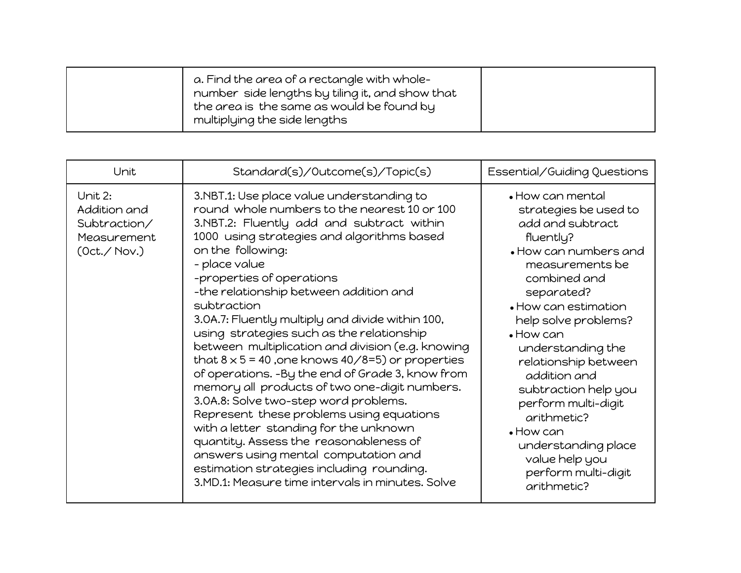| a. Find the area of a rectangle with whole-<br>number side lengths by tiling it, and show that<br>the area is the same as would be found by<br>multiplying the side lengths |  |
|-----------------------------------------------------------------------------------------------------------------------------------------------------------------------------|--|
|-----------------------------------------------------------------------------------------------------------------------------------------------------------------------------|--|

| Unit                                                                   | Standard(s)/Outcome(s)/Topic(s)                                                                                                                                                                                                                                                                                                                                                                                                                                                                                                                                                                                                                                                                                                                                                                                                                                                                                                                              | Essential/Guiding Questions                                                                                                                                                                                                                                                                                                                                                                                                                                      |
|------------------------------------------------------------------------|--------------------------------------------------------------------------------------------------------------------------------------------------------------------------------------------------------------------------------------------------------------------------------------------------------------------------------------------------------------------------------------------------------------------------------------------------------------------------------------------------------------------------------------------------------------------------------------------------------------------------------------------------------------------------------------------------------------------------------------------------------------------------------------------------------------------------------------------------------------------------------------------------------------------------------------------------------------|------------------------------------------------------------------------------------------------------------------------------------------------------------------------------------------------------------------------------------------------------------------------------------------------------------------------------------------------------------------------------------------------------------------------------------------------------------------|
| Unit 2:<br>Addition and<br>Subtraction/<br>Measurement<br>(Oct./ Nov.) | 3.NBT.1: Use place value understanding to<br>round whole numbers to the nearest 10 or 100<br>3.NBT.2: Fluently add and subtract within<br>1000 using strategies and algorithms based<br>on the following:<br>- place value<br>-properties of operations<br>-the relationship between addition and<br>subtraction<br>3.0A.7: Fluently multiply and divide within 100,<br>using strategies such as the relationship<br>between multiplication and division (e.g. knowing<br>that $8 \times 5 = 40$ , one knows $40/8=5$ ) or properties<br>of operations. -By the end of Grade 3, know from<br>memory all products of two one-digit numbers.<br>3.0A.8: Solve two-step word problems.<br>Represent these problems using equations<br>with a letter standing for the unknown<br>quantity. Assess the reasonableness of<br>answers using mental computation and<br>estimation strategies including rounding.<br>3.MD.1: Measure time intervals in minutes. Solve | $\bullet$ How can mental<br>strategies be used to<br>add and subtract<br>fluently?<br>• How can numbers and<br>measurements be<br>combined and<br>separated?<br>• How can estimation<br>help solve problems?<br>$\bullet$ How can<br>understanding the<br>relationship between<br>addition and<br>subtraction help you<br>perform multi-digit<br>arithmetic?<br>$\bullet$ How can<br>understanding place<br>value help you<br>perform multi-digit<br>arithmetic? |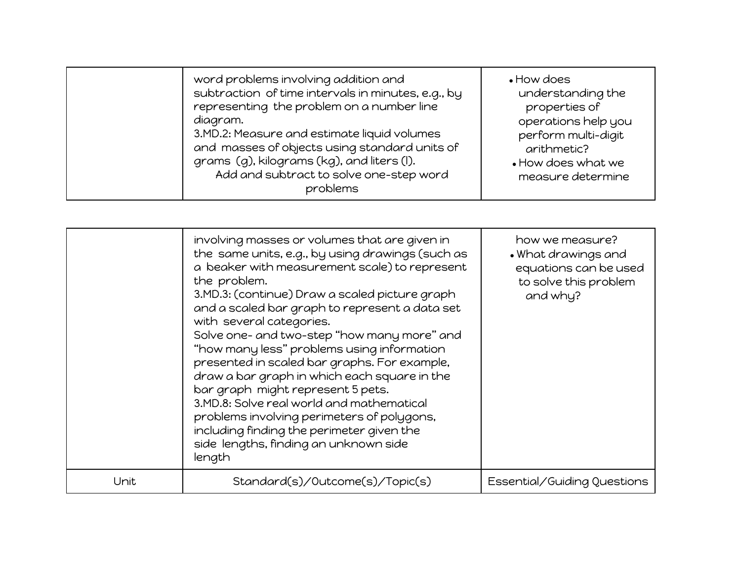| word problems involving addition and<br>representing the problem on a number line<br>diagram.<br>3.MD.2: Measure and estimate liquid volumes<br>and masses of objects using standard units of<br>grams (g), kilograms (kg), and liters (I). | subtraction of time intervals in minutes, e.g., by<br>Add and subtract to solve one-step word<br>problems | • How does<br>understanding the<br>properties of<br>operations help you<br>perform multi-digit<br>arithmetic?<br>. How does what we<br>measure determine |
|---------------------------------------------------------------------------------------------------------------------------------------------------------------------------------------------------------------------------------------------|-----------------------------------------------------------------------------------------------------------|----------------------------------------------------------------------------------------------------------------------------------------------------------|
|---------------------------------------------------------------------------------------------------------------------------------------------------------------------------------------------------------------------------------------------|-----------------------------------------------------------------------------------------------------------|----------------------------------------------------------------------------------------------------------------------------------------------------------|

|      | involving masses or volumes that are given in<br>the same units, e.g., by using drawings (such as<br>a beaker with measurement scale) to represent<br>the problem.<br>3.MD.3: (continue) Draw a scaled picture graph<br>and a scaled bar graph to represent a data set<br>with several categories.<br>Solve one- and two-step "how many more" and<br>"how many less" problems using information<br>presented in scaled bar graphs. For example,<br>draw a bar graph in which each square in the<br>bar graph might represent 5 pets.<br>3.MD.8: Solve real world and mathematical<br>problems involving perimeters of polygons,<br>including finding the perimeter given the<br>side lengths, finding an unknown side<br>length | how we measure?<br>. What drawings and<br>equations can be used<br>to solve this problem<br>and why? |
|------|---------------------------------------------------------------------------------------------------------------------------------------------------------------------------------------------------------------------------------------------------------------------------------------------------------------------------------------------------------------------------------------------------------------------------------------------------------------------------------------------------------------------------------------------------------------------------------------------------------------------------------------------------------------------------------------------------------------------------------|------------------------------------------------------------------------------------------------------|
| Unit | Standard(s)/Outcome(s)/Topic(s)                                                                                                                                                                                                                                                                                                                                                                                                                                                                                                                                                                                                                                                                                                 | Essential/Guiding Questions                                                                          |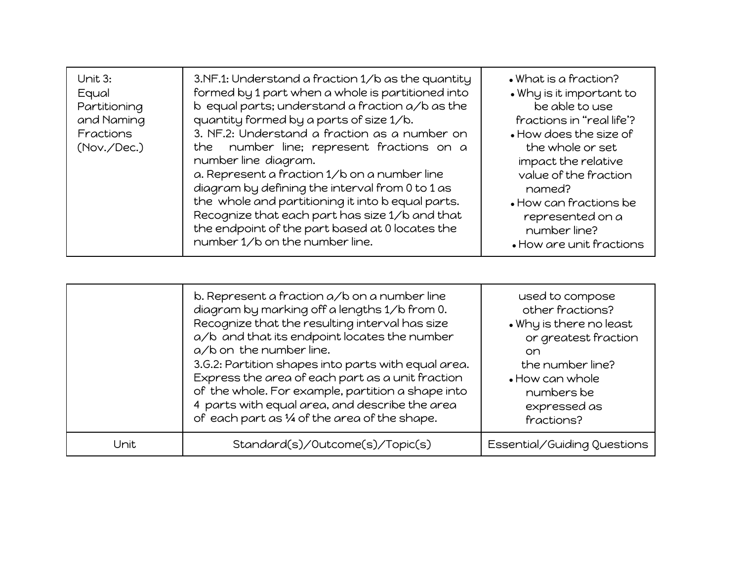| Unit 3:<br>Equal<br>Partitioning<br>and Naming<br>Fractions<br>(Nov./Dec.) | 3.NF.1: Understand a fraction 1/b as the quantity<br>formed by 1 part when a whole is partitioned into<br>$b$ equal parts; understand a fraction $a/b$ as the<br>quantity formed by a parts of size 1/b.<br>3. NF.2: Understand a fraction as a number on<br>the number line; represent fractions on a<br>number line diagram.<br>a. Represent a fraction 1/b on a number line<br>diagram by defining the interval from 0 to 1 as<br>the whole and partitioning it into be qual parts.<br>Recognize that each part has size 1/b and that<br>the endpoint of the part based at 0 locates the | $\bullet$ What is a fraction?<br>. Why is it important to<br>be able to use<br>fractions in "real life"?<br>• How does the size of<br>the whole or set<br>impact the relative<br>value of the fraction<br>named?<br>• How can fractions be<br>represented on a<br>number line? |
|----------------------------------------------------------------------------|---------------------------------------------------------------------------------------------------------------------------------------------------------------------------------------------------------------------------------------------------------------------------------------------------------------------------------------------------------------------------------------------------------------------------------------------------------------------------------------------------------------------------------------------------------------------------------------------|--------------------------------------------------------------------------------------------------------------------------------------------------------------------------------------------------------------------------------------------------------------------------------|
|                                                                            | number 1/b on the number line.                                                                                                                                                                                                                                                                                                                                                                                                                                                                                                                                                              | • How are unit fractions                                                                                                                                                                                                                                                       |

|      | b. Represent a fraction a/b on a number line<br>diagram by marking off a lengths 1/b from 0.<br>Recognize that the resulting interval has size<br>a/b and that its endpoint locates the number<br>a/b on the number line.<br>3.G.2: Partition shapes into parts with equal area.<br>Express the area of each part as a unit fraction<br>of the whole. For example, partition a shape into<br>4 parts with equal area, and describe the area<br>of each part as 1/4 of the area of the shape. | used to compose<br>other fractions?<br>. Why is there no least<br>or greatest fraction<br>on.<br>the number line?<br>• How can whole<br>numbers be<br>expressed as<br>fractions? |
|------|----------------------------------------------------------------------------------------------------------------------------------------------------------------------------------------------------------------------------------------------------------------------------------------------------------------------------------------------------------------------------------------------------------------------------------------------------------------------------------------------|----------------------------------------------------------------------------------------------------------------------------------------------------------------------------------|
| Unit | Standard(s)/Outcome(s)/Topic(s)                                                                                                                                                                                                                                                                                                                                                                                                                                                              | Essential/Guiding Questions                                                                                                                                                      |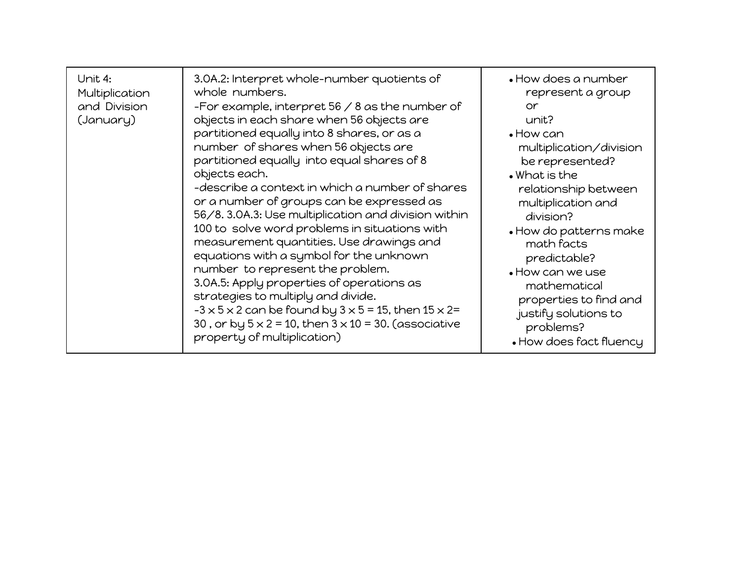| Unit 4:<br>Multiplication<br>and Division<br>(January) | 3.0A.2: Interpret whole-number quotients of<br>whole numbers.<br>-For example, interpret $56 / 8$ as the number of<br>objects in each share when 56 objects are<br>partitioned equally into 8 shares, or as a<br>number of shares when 56 objects are<br>partitioned equally into equal shares of 8<br>objects each.<br>-describe a context in which a number of shares<br>or a number of groups can be expressed as<br>56/8. 3.0A.3: Use multiplication and division within<br>100 to solve word problems in situations with<br>measurement quantities. Use drawings and<br>equations with a symbol for the unknown<br>number to represent the problem.<br>3.0A.5: Apply properties of operations as<br>strategies to multiply and divide.<br>$-3 \times 5 \times 2$ can be found by $3 \times 5 = 15$ , then $15 \times 2 =$<br>30, or by $5 \times 2 = 10$ , then $3 \times 10 = 30$ . (associative<br>property of multiplication) | $\bullet$ How does a number<br>represent a group<br>or.<br>unit?<br>$\bullet$ How can<br>multiplication/division<br>be represented?<br>$\bullet$ What is the<br>relationship between<br>multiplication and<br>division?<br>. How do patterns make<br>math facts<br>predictable?<br>. How can we use<br>mathematical<br>properties to find and<br>justify solutions to<br>problems?<br>• How does fact fluency |
|--------------------------------------------------------|---------------------------------------------------------------------------------------------------------------------------------------------------------------------------------------------------------------------------------------------------------------------------------------------------------------------------------------------------------------------------------------------------------------------------------------------------------------------------------------------------------------------------------------------------------------------------------------------------------------------------------------------------------------------------------------------------------------------------------------------------------------------------------------------------------------------------------------------------------------------------------------------------------------------------------------|---------------------------------------------------------------------------------------------------------------------------------------------------------------------------------------------------------------------------------------------------------------------------------------------------------------------------------------------------------------------------------------------------------------|
|--------------------------------------------------------|---------------------------------------------------------------------------------------------------------------------------------------------------------------------------------------------------------------------------------------------------------------------------------------------------------------------------------------------------------------------------------------------------------------------------------------------------------------------------------------------------------------------------------------------------------------------------------------------------------------------------------------------------------------------------------------------------------------------------------------------------------------------------------------------------------------------------------------------------------------------------------------------------------------------------------------|---------------------------------------------------------------------------------------------------------------------------------------------------------------------------------------------------------------------------------------------------------------------------------------------------------------------------------------------------------------------------------------------------------------|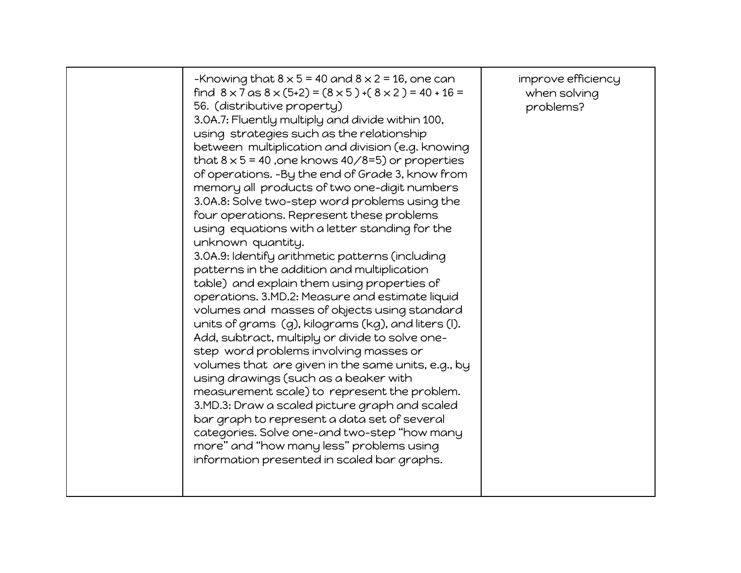|  | -Knowing that $8 \times 5 = 40$ and $8 \times 2 = 16$ , one can<br>find $8 \times 7$ as $8 \times (5+2) = (8 \times 5) + (8 \times 2) = 40 + 16 =$<br>56. (distributive property)<br>3.0A.7: Fluently multiply and divide within 100,<br>using strategies such as the relationship<br>between multiplication and division (e.g. knowing<br>that $8 \times 5 = 40$ , one knows $40/8=5$ ) or properties<br>of operations. -By the end of Grade 3, know from<br>memory all products of two one-digit numbers<br>3.0A.8: Solve two-step word problems using the<br>four operations. Represent these problems<br>using equations with a letter standing for the<br>unknown quantity.<br>3.0A.9: Identify arithmetic patterns (including<br>patterns in the addition and multiplication<br>table) and explain them using properties of<br>operations. 3.MD.2: Measure and estimate liquid<br>volumes and masses of objects using standard<br>units of grams (g), kilograms (kg), and liters (I).<br>Add, subtract, multiply or divide to solve one-<br>step word problems involving masses or<br>volumes that are given in the same units, e.g., by<br>using drawings (such as a beaker with<br>measurement scale) to represent the problem.<br>3.MD.3: Draw a scaled picture graph and scaled<br>bar graph to represent a data set of several<br>categories. Solve one-and two-step "how many<br>more" and "how many less" problems using<br>information presented in scaled bar graphs. | improve efficiency<br>when solving<br>problems? |
|--|--------------------------------------------------------------------------------------------------------------------------------------------------------------------------------------------------------------------------------------------------------------------------------------------------------------------------------------------------------------------------------------------------------------------------------------------------------------------------------------------------------------------------------------------------------------------------------------------------------------------------------------------------------------------------------------------------------------------------------------------------------------------------------------------------------------------------------------------------------------------------------------------------------------------------------------------------------------------------------------------------------------------------------------------------------------------------------------------------------------------------------------------------------------------------------------------------------------------------------------------------------------------------------------------------------------------------------------------------------------------------------------------------------------------------------------------------------------------------------------|-------------------------------------------------|
|--|--------------------------------------------------------------------------------------------------------------------------------------------------------------------------------------------------------------------------------------------------------------------------------------------------------------------------------------------------------------------------------------------------------------------------------------------------------------------------------------------------------------------------------------------------------------------------------------------------------------------------------------------------------------------------------------------------------------------------------------------------------------------------------------------------------------------------------------------------------------------------------------------------------------------------------------------------------------------------------------------------------------------------------------------------------------------------------------------------------------------------------------------------------------------------------------------------------------------------------------------------------------------------------------------------------------------------------------------------------------------------------------------------------------------------------------------------------------------------------------|-------------------------------------------------|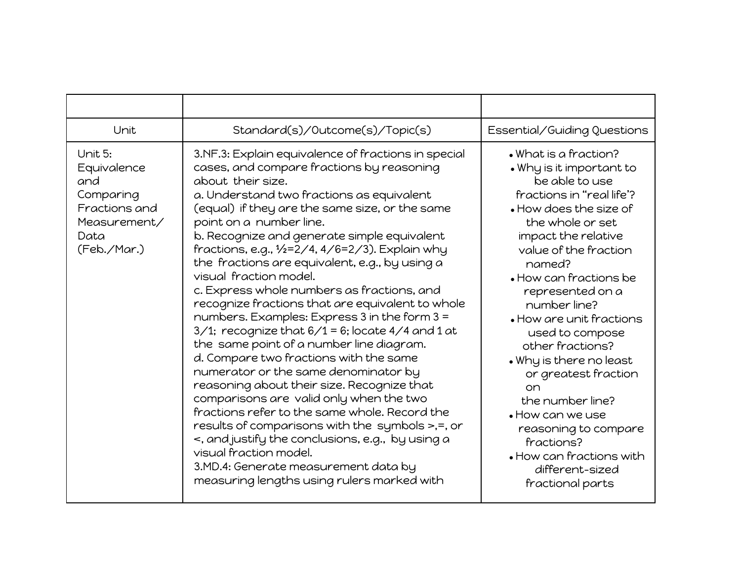| Unit                                                                                               | Standard(s)/Outcome(s)/Topic(s)                                                                                                                                                                                                                                                                                                                                                                                                                                                                                                                                                                                                                                                                                                                                                                                                                                                                                                                                                                                                                                                                                                         | Essential/Guiding Questions                                                                                                                                                                                                                                                                                                                                                                                                                                                                                                                         |
|----------------------------------------------------------------------------------------------------|-----------------------------------------------------------------------------------------------------------------------------------------------------------------------------------------------------------------------------------------------------------------------------------------------------------------------------------------------------------------------------------------------------------------------------------------------------------------------------------------------------------------------------------------------------------------------------------------------------------------------------------------------------------------------------------------------------------------------------------------------------------------------------------------------------------------------------------------------------------------------------------------------------------------------------------------------------------------------------------------------------------------------------------------------------------------------------------------------------------------------------------------|-----------------------------------------------------------------------------------------------------------------------------------------------------------------------------------------------------------------------------------------------------------------------------------------------------------------------------------------------------------------------------------------------------------------------------------------------------------------------------------------------------------------------------------------------------|
| Unit 5:<br>Equivalence<br>and<br>Comparing<br>Fractions and<br>Measurement/<br>Data<br>(Feb./Mar.) | 3.NF.3: Explain equivalence of fractions in special<br>cases, and compare fractions by reasoning<br>about their size.<br>a. Understand two fractions as equivalent<br>(equal) if they are the same size, or the same<br>point on a number line.<br>b. Recognize and generate simple equivalent<br>fractions, e.g., 1/2=2/4, 4/6=2/3). Explain why<br>the fractions are equivalent, e.g., by using a<br>visual fraction model.<br>c. Express whole numbers as fractions, and<br>recognize fractions that are equivalent to whole<br>numbers. Examples: Express 3 in the form 3 =<br>$3/1$ ; recognize that $6/1$ = 6; locate 4/4 and 1 at<br>the same point of a number line diagram.<br>d. Compare two fractions with the same<br>numerator or the same denominator by<br>reasoning about their size. Recognize that<br>comparisons are valid only when the two<br>fractions refer to the same whole. Record the<br>results of comparisons with the symbols >,=, or<br><, and justify the conclusions, e.g., by using a<br>visual fraction model.<br>3.MD.4: Generate measurement data by<br>measuring lengths using rulers marked with | • What is a fraction?<br>. Why is it important to<br>be able to use<br>fractions in "real life"?<br>. How does the size of<br>the whole or set<br>impact the relative<br>value of the fraction<br>named?<br>• How can fractions be<br>represented on a<br>number line?<br>• How are unit fractions<br>used to compose<br>other fractions?<br>. Why is there no least<br>or greatest fraction<br>on<br>the number line?<br>. How can we use<br>reasoning to compare<br>fractions?<br>• How can fractions with<br>different-sized<br>fractional parts |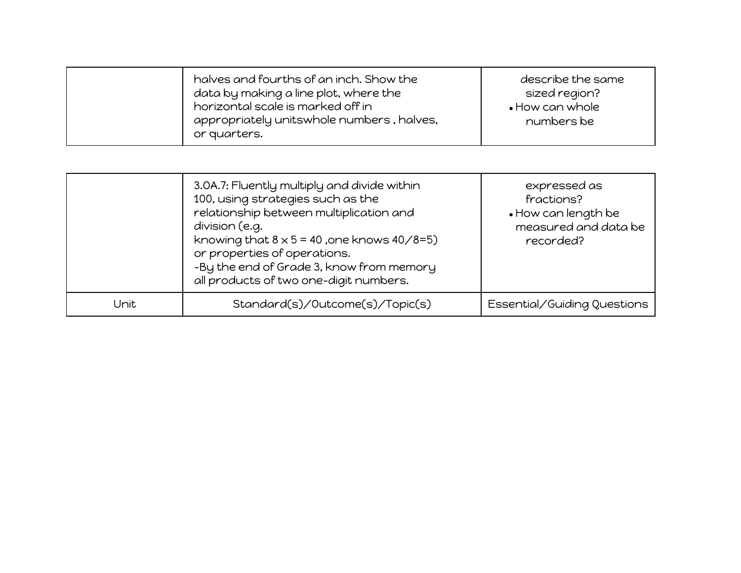|      | 3.0A.7: Fluently multiply and divide within<br>100, using strategies such as the<br>relationship between multiplication and<br>division (e.g.<br>knowing that $8 \times 5 = 40$ , one knows $40/8=5$ )<br>or properties of operations.<br>-By the end of Grade 3, know from memory<br>all products of two one-digit numbers. | expressed as<br>fractions?<br>. How can length be<br>measured and data be<br>recorded? |
|------|------------------------------------------------------------------------------------------------------------------------------------------------------------------------------------------------------------------------------------------------------------------------------------------------------------------------------|----------------------------------------------------------------------------------------|
| Unit | Standard(s)/Outcome(s)/Topic(s)                                                                                                                                                                                                                                                                                              | Essential/Guiding Questions                                                            |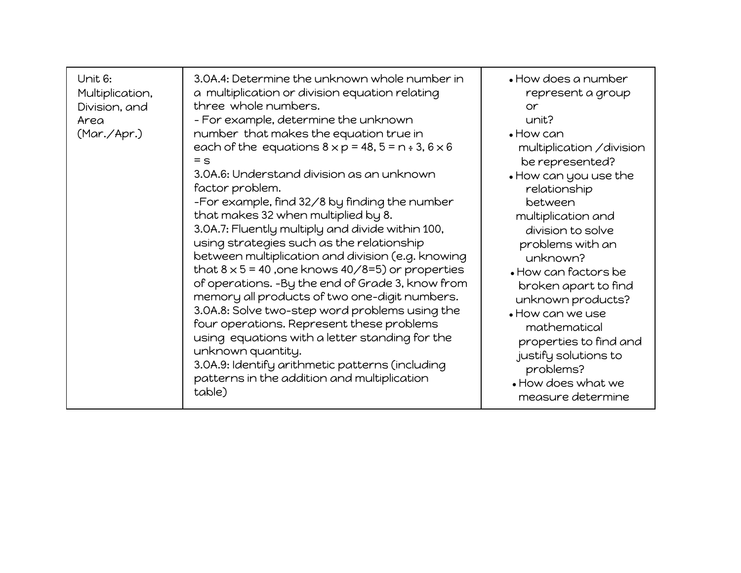| Unit 6:<br>Multiplication,<br>Division, and<br>Area<br>(Mar./Apr.) | 3.0A.4: Determine the unknown whole number in<br>a multiplication or division equation relating<br>three whole numbers.<br>- For example, determine the unknown<br>number that makes the equation true in<br>each of the equations $8 \times p = 48$ , $5 = n \div 3$ , $6 \times 6$<br>$=$ $\leq$<br>3.0A.6: Understand division as an unknown<br>factor problem.<br>-For example, find 32/8 by finding the number<br>that makes 32 when multiplied by 8.<br>3.0A.7: Fluently multiply and divide within 100,<br>using strategies such as the relationship<br>between multiplication and division (e.g. knowing<br>that $8 \times 5 = 40$ , one knows $40/8=5$ ) or properties<br>of operations. -By the end of Grade 3, know from<br>memory all products of two one-digit numbers.<br>3.0A.8: Solve two-step word problems using the<br>four operations. Represent these problems<br>using equations with a letter standing for the<br>unknown quantity.<br>3.0A.9: Identify arithmetic patterns (including<br>patterns in the addition and multiplication<br>table) | $\bullet$ How does a number<br>represent a group<br>or<br>unit?<br>$\bullet$ How can<br>multiplication / division<br>be represented?<br>• How can you use the<br>relationship<br>between<br>multiplication and<br>division to solve<br>problems with an<br>unknown?<br>• How can factors be<br>broken apart to find<br>unknown products?<br>• How can we use<br>mathematical<br>properties to find and<br>justify solutions to<br>problems?<br>. How does what we<br>measure determine |
|--------------------------------------------------------------------|------------------------------------------------------------------------------------------------------------------------------------------------------------------------------------------------------------------------------------------------------------------------------------------------------------------------------------------------------------------------------------------------------------------------------------------------------------------------------------------------------------------------------------------------------------------------------------------------------------------------------------------------------------------------------------------------------------------------------------------------------------------------------------------------------------------------------------------------------------------------------------------------------------------------------------------------------------------------------------------------------------------------------------------------------------------------|----------------------------------------------------------------------------------------------------------------------------------------------------------------------------------------------------------------------------------------------------------------------------------------------------------------------------------------------------------------------------------------------------------------------------------------------------------------------------------------|
|--------------------------------------------------------------------|------------------------------------------------------------------------------------------------------------------------------------------------------------------------------------------------------------------------------------------------------------------------------------------------------------------------------------------------------------------------------------------------------------------------------------------------------------------------------------------------------------------------------------------------------------------------------------------------------------------------------------------------------------------------------------------------------------------------------------------------------------------------------------------------------------------------------------------------------------------------------------------------------------------------------------------------------------------------------------------------------------------------------------------------------------------------|----------------------------------------------------------------------------------------------------------------------------------------------------------------------------------------------------------------------------------------------------------------------------------------------------------------------------------------------------------------------------------------------------------------------------------------------------------------------------------------|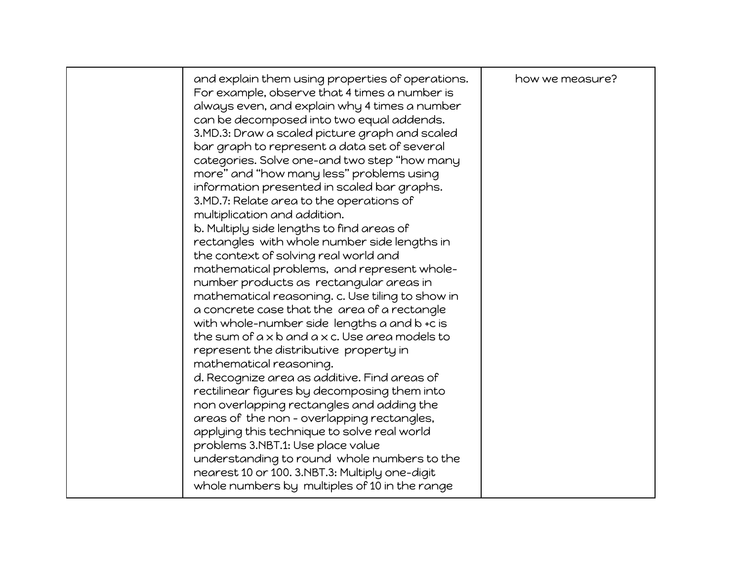| and explain them using properties of operations.<br>For example, observe that 4 times a number is<br>always even, and explain why 4 times a number<br>can be decomposed into two equal addends.<br>3.MD.3: Draw a scaled picture graph and scaled<br>bar graph to represent a data set of several<br>categories. Solve one-and two step "how many<br>more" and "how many less" problems using<br>information presented in scaled bar graphs.<br>3.MD.7: Relate area to the operations of<br>multiplication and addition.<br>b. Multiply side lengths to find areas of<br>rectangles with whole number side lengths in<br>the context of solving real world and<br>mathematical problems, and represent whole-<br>number products as rectangular areas in<br>mathematical reasoning. c. Use tiling to show in<br>a concrete case that the area of a rectangle<br>with whole-number side lengths a and b +c is<br>the sum of $a \times b$ and $a \times c$ . Use area models to<br>represent the distributive property in<br>mathematical reasoning.<br>d. Recognize area as additive. Find areas of<br>rectilinear figures by decomposing them into<br>non overlapping rectangles and adding the<br>areas of the non - overlapping rectangles,<br>applying this technique to solve real world<br>problems 3.NBT.1: Use place value<br>understanding to round whole numbers to the<br>nearest 10 or 100. 3.NBT.3: Multiply one-digit | how we measure? |
|------------------------------------------------------------------------------------------------------------------------------------------------------------------------------------------------------------------------------------------------------------------------------------------------------------------------------------------------------------------------------------------------------------------------------------------------------------------------------------------------------------------------------------------------------------------------------------------------------------------------------------------------------------------------------------------------------------------------------------------------------------------------------------------------------------------------------------------------------------------------------------------------------------------------------------------------------------------------------------------------------------------------------------------------------------------------------------------------------------------------------------------------------------------------------------------------------------------------------------------------------------------------------------------------------------------------------------------------------------------------------------------------------------------------------------|-----------------|
| whole numbers by multiples of 10 in the range                                                                                                                                                                                                                                                                                                                                                                                                                                                                                                                                                                                                                                                                                                                                                                                                                                                                                                                                                                                                                                                                                                                                                                                                                                                                                                                                                                                      |                 |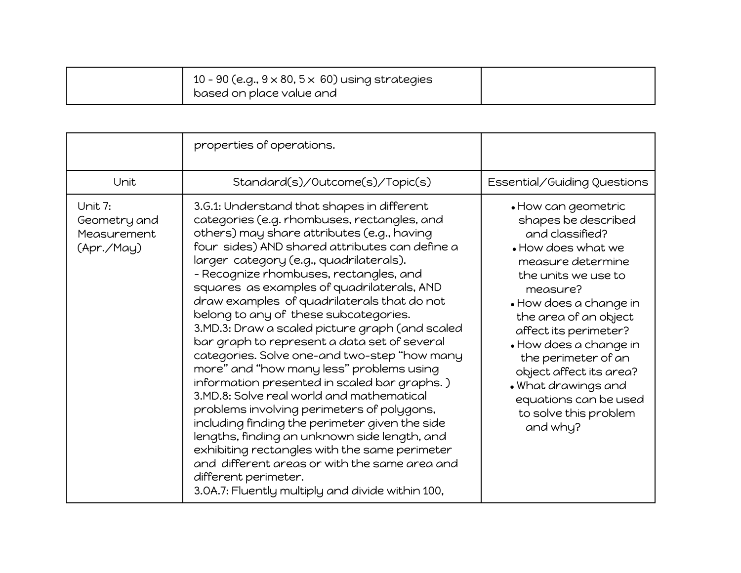| 10 - 90 (e.g., $9 \times 80$ , $5 \times 60$ ) using strategies<br>based on place value and |  |
|---------------------------------------------------------------------------------------------|--|
|---------------------------------------------------------------------------------------------|--|

|                                                      | properties of operations.                                                                                                                                                                                                                                                                                                                                                                                                                                                                                                                                                                                                                                                                                                                                                                                                                                                                                                                                                                                                                      |                                                                                                                                                                                                                                                                                                                                                                                          |
|------------------------------------------------------|------------------------------------------------------------------------------------------------------------------------------------------------------------------------------------------------------------------------------------------------------------------------------------------------------------------------------------------------------------------------------------------------------------------------------------------------------------------------------------------------------------------------------------------------------------------------------------------------------------------------------------------------------------------------------------------------------------------------------------------------------------------------------------------------------------------------------------------------------------------------------------------------------------------------------------------------------------------------------------------------------------------------------------------------|------------------------------------------------------------------------------------------------------------------------------------------------------------------------------------------------------------------------------------------------------------------------------------------------------------------------------------------------------------------------------------------|
| Unit                                                 | Standard(s)/Outcome(s)/Topic(s)                                                                                                                                                                                                                                                                                                                                                                                                                                                                                                                                                                                                                                                                                                                                                                                                                                                                                                                                                                                                                | Essential/Guiding Questions                                                                                                                                                                                                                                                                                                                                                              |
| Unit 7:<br>Geometry and<br>Measurement<br>(Apr./May) | 3.G.1: Understand that shapes in different<br>categories (e.g. rhombuses, rectangles, and<br>others) may share attributes (e.g., having<br>four sides) AND shared attributes can define a<br>larger category (e.g., quadrilaterals).<br>- Recognize rhombuses, rectangles, and<br>squares as examples of quadrilaterals, AND<br>draw examples of quadrilaterals that do not<br>belong to any of these subcategories.<br>3.MD.3: Draw a scaled picture graph (and scaled<br>bar graph to represent a data set of several<br>categories. Solve one-and two-step "how many<br>more" and "how many less" problems using<br>information presented in scaled bar graphs.)<br>3.MD.8: Solve real world and mathematical<br>problems involving perimeters of polygons,<br>including finding the perimeter given the side<br>lengths, finding an unknown side length, and<br>exhibiting rectangles with the same perimeter<br>and different areas or with the same area and<br>different perimeter.<br>3.0A.7: Fluently multiply and divide within 100, | • How can geometric<br>shapes be described<br>and classified?<br>• How does what we<br>measure determine<br>the units we use to<br>measure?<br>• How does a change in<br>the area of an object<br>affect its perimeter?<br>• How does a change in<br>the perimeter of an<br>object affect its area?<br>. What drawings and<br>equations can be used<br>to solve this problem<br>and why? |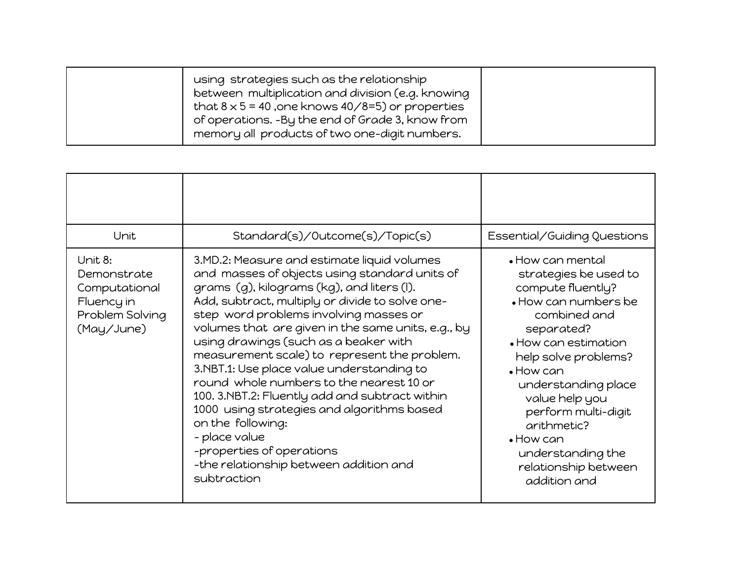|  | using strategies such as the relationship<br>between multiplication and division (e.g. knowing<br>that $8 \times 5 = 40$ , one knows $40/8 = 5$ ) or properties<br>of operations. -By the end of Grade 3, know from<br>memory all products of two one-digit numbers. |  |
|--|----------------------------------------------------------------------------------------------------------------------------------------------------------------------------------------------------------------------------------------------------------------------|--|
|--|----------------------------------------------------------------------------------------------------------------------------------------------------------------------------------------------------------------------------------------------------------------------|--|

| Unit                                                                                   | Standard(s)/Outcome(s)/Topic(s)                                                                                                                                                                                                                                                                                                                                                                                                                                                                                                                                                                                                                                                                             | Essential/Guiding Questions                                                                                                                                                                                                                                                                                                                                        |
|----------------------------------------------------------------------------------------|-------------------------------------------------------------------------------------------------------------------------------------------------------------------------------------------------------------------------------------------------------------------------------------------------------------------------------------------------------------------------------------------------------------------------------------------------------------------------------------------------------------------------------------------------------------------------------------------------------------------------------------------------------------------------------------------------------------|--------------------------------------------------------------------------------------------------------------------------------------------------------------------------------------------------------------------------------------------------------------------------------------------------------------------------------------------------------------------|
| Unit 8:<br>Demonstrate<br>Computational<br>Fluency in<br>Problem Solving<br>(May/June) | 3.MD.2: Measure and estimate liquid volumes<br>and masses of objects using standard units of<br>grams (g), kilograms (kg), and liters (l).<br>Add, subtract, multiply or divide to solve one-<br>step word problems involving masses or<br>volumes that are given in the same units, e.g., by<br>using drawings (such as a beaker with<br>measurement scale) to represent the problem.<br>3.NBT.1: Use place value understanding to<br>round whole numbers to the nearest 10 or<br>100. 3.NBT.2: Fluently add and subtract within<br>1000 using strategies and algorithms based<br>on the following:<br>- place value<br>-properties of operations<br>-the relationship between addition and<br>subtraction | $\bullet$ How can mental<br>strategies be used to<br>compute fluently?<br>• How can numbers be<br>combined and<br>separated?<br>• How can estimation<br>help solve problems?<br>$\bullet$ How can<br>understanding place<br>value help you<br>perform multi-digit<br>arithmetic?<br>$\bullet$ How can<br>understanding the<br>relationship between<br>addition and |